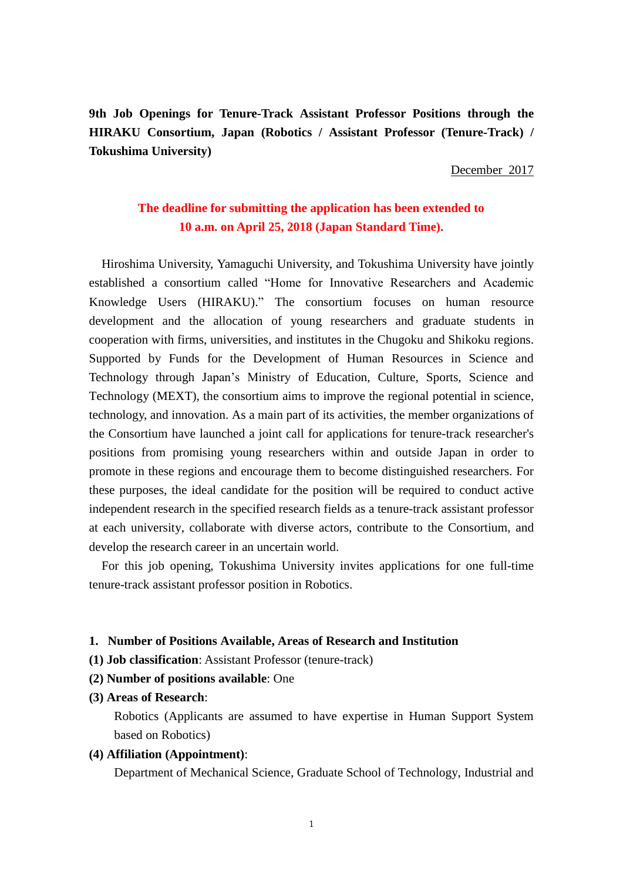**9th Job Openings for Tenure-Track Assistant Professor Positions through the HIRAKU Consortium, Japan (Robotics / Assistant Professor (Tenure-Track) / Tokushima University)**

December 2017

# **The deadline for submitting the application has been extended to 10 a.m. on April 25, 2018 (Japan Standard Time).**

Hiroshima University, Yamaguchi University, and Tokushima University have jointly established a consortium called "Home for Innovative Researchers and Academic Knowledge Users (HIRAKU)." The consortium focuses on human resource development and the allocation of young researchers and graduate students in cooperation with firms, universities, and institutes in the Chugoku and Shikoku regions. Supported by Funds for the Development of Human Resources in Science and Technology through Japan's Ministry of Education, Culture, Sports, Science and Technology (MEXT), the consortium aims to improve the regional potential in science, technology, and innovation. As a main part of its activities, the member organizations of the Consortium have launched a joint call for applications for tenure-track researcher's positions from promising young researchers within and outside Japan in order to promote in these regions and encourage them to become distinguished researchers. For these purposes, the ideal candidate for the position will be required to conduct active independent research in the specified research fields as a tenure-track assistant professor at each university, collaborate with diverse actors, contribute to the Consortium, and develop the research career in an uncertain world.

For this job opening, Tokushima University invites applications for one full-time tenure-track assistant professor position in Robotics.

#### **1. Number of Positions Available, Areas of Research and Institution**

- **(1) Job classification**: Assistant Professor (tenure-track)
- **(2) Number of positions available**: One
- **(3) Areas of Research**:

Robotics (Applicants are assumed to have expertise in Human Support System based on Robotics)

#### **(4) Affiliation (Appointment)**:

Department of Mechanical Science, Graduate School of Technology, Industrial and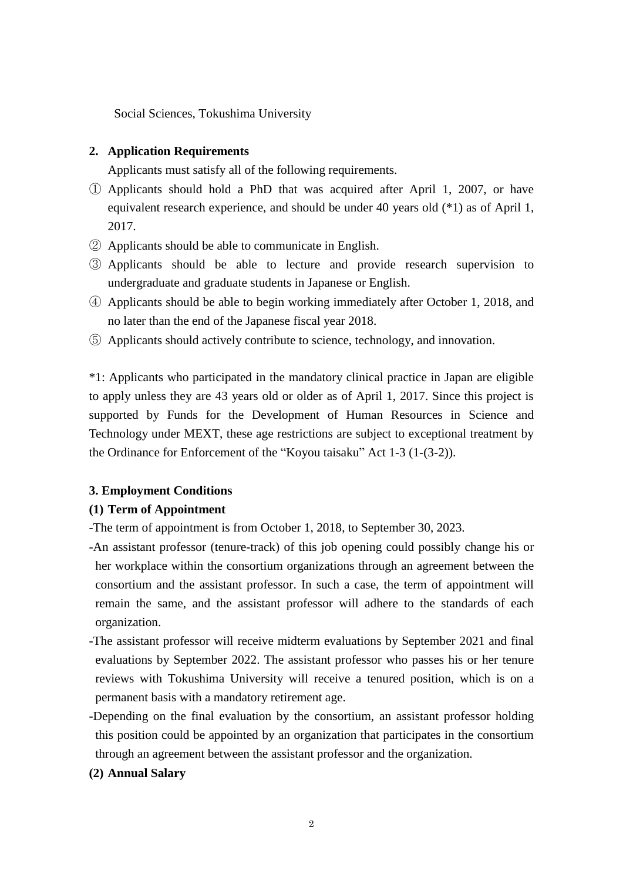Social Sciences, Tokushima University

## **2. Application Requirements**

Applicants must satisfy all of the following requirements.

- ① Applicants should hold a PhD that was acquired after April 1, 2007, or have equivalent research experience, and should be under 40 years old (\*1) as of April 1, 2017.
- ② Applicants should be able to communicate in English.
- ③ Applicants should be able to lecture and provide research supervision to undergraduate and graduate students in Japanese or English.
- ④ Applicants should be able to begin working immediately after October 1, 2018, and no later than the end of the Japanese fiscal year 2018.
- ⑤ Applicants should actively contribute to science, technology, and innovation.

\*1: Applicants who participated in the mandatory clinical practice in Japan are eligible to apply unless they are 43 years old or older as of April 1, 2017. Since this project is supported by Funds for the Development of Human Resources in Science and Technology under MEXT, these age restrictions are subject to exceptional treatment by the Ordinance for Enforcement of the "Koyou taisaku" Act 1-3 (1-(3-2)).

## **3. Employment Conditions**

## **(1) Term of Appointment**

-The term of appointment is from October 1, 2018, to September 30, 2023.

- -An assistant professor (tenure-track) of this job opening could possibly change his or her workplace within the consortium organizations through an agreement between the consortium and the assistant professor. In such a case, the term of appointment will remain the same, and the assistant professor will adhere to the standards of each organization.
- -The assistant professor will receive midterm evaluations by September 2021 and final evaluations by September 2022. The assistant professor who passes his or her tenure reviews with Tokushima University will receive a tenured position, which is on a permanent basis with a mandatory retirement age.
- -Depending on the final evaluation by the consortium, an assistant professor holding this position could be appointed by an organization that participates in the consortium through an agreement between the assistant professor and the organization.

## **(2) Annual Salary**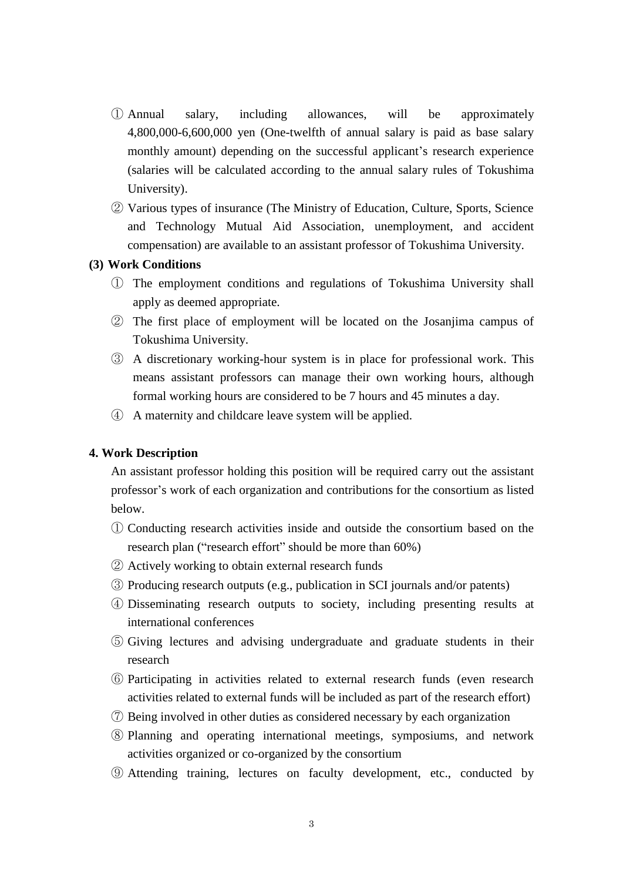- ① Annual salary, including allowances, will be approximately 4,800,000-6,600,000 yen (One-twelfth of annual salary is paid as base salary monthly amount) depending on the successful applicant's research experience (salaries will be calculated according to the annual salary rules of Tokushima University).
- ② Various types of insurance (The Ministry of Education, Culture, Sports, Science and Technology Mutual Aid Association, unemployment, and accident compensation) are available to an assistant professor of Tokushima University.

## **(3) Work Conditions**

- ① The employment conditions and regulations of Tokushima University shall apply as deemed appropriate.
- ② The first place of employment will be located on the Josanjima campus of Tokushima University.
- ③ A discretionary working-hour system is in place for professional work. This means assistant professors can manage their own working hours, although formal working hours are considered to be 7 hours and 45 minutes a day.
- ④ A maternity and childcare leave system will be applied.

## **4. Work Description**

An assistant professor holding this position will be required carry out the assistant professor's work of each organization and contributions for the consortium as listed below.

- ① Conducting research activities inside and outside the consortium based on the research plan ("research effort" should be more than 60%)
- ② Actively working to obtain external research funds
- ③ Producing research outputs (e.g., publication in SCI journals and/or patents)
- ④ Disseminating research outputs to society, including presenting results at international conferences
- ⑤ Giving lectures and advising undergraduate and graduate students in their research
- ⑥ Participating in activities related to external research funds (even research activities related to external funds will be included as part of the research effort)
- ⑦ Being involved in other duties as considered necessary by each organization
- ⑧ Planning and operating international meetings, symposiums, and network activities organized or co-organized by the consortium
- ⑨ Attending training, lectures on faculty development, etc., conducted by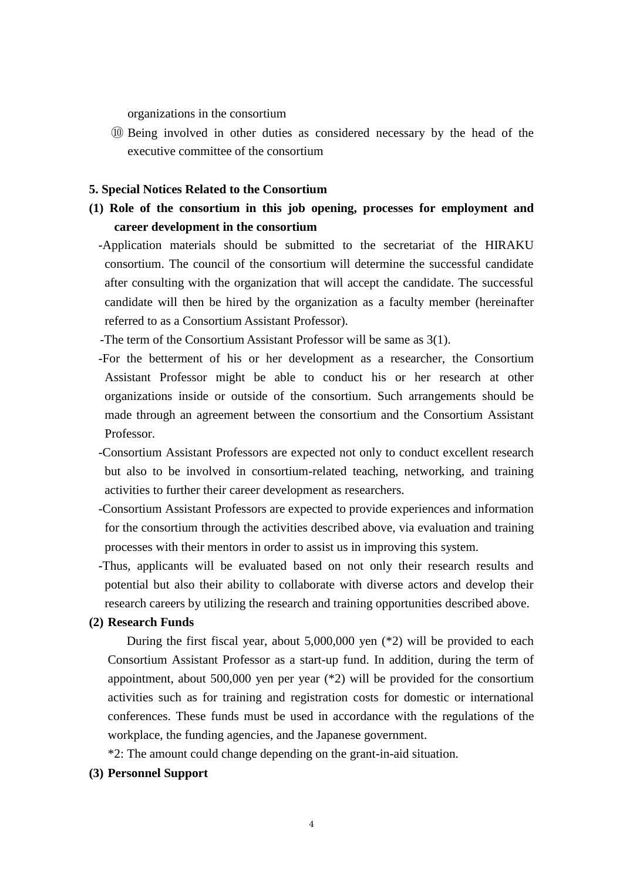organizations in the consortium

⑩ Being involved in other duties as considered necessary by the head of the executive committee of the consortium

## **5. Special Notices Related to the Consortium**

- **(1) Role of the consortium in this job opening, processes for employment and career development in the consortium**
	- -Application materials should be submitted to the secretariat of the HIRAKU consortium. The council of the consortium will determine the successful candidate after consulting with the organization that will accept the candidate. The successful candidate will then be hired by the organization as a faculty member (hereinafter referred to as a Consortium Assistant Professor).

-The term of the Consortium Assistant Professor will be same as 3(1).

- -For the betterment of his or her development as a researcher, the Consortium Assistant Professor might be able to conduct his or her research at other organizations inside or outside of the consortium. Such arrangements should be made through an agreement between the consortium and the Consortium Assistant Professor.
- -Consortium Assistant Professors are expected not only to conduct excellent research but also to be involved in consortium-related teaching, networking, and training activities to further their career development as researchers.
- -Consortium Assistant Professors are expected to provide experiences and information for the consortium through the activities described above, via evaluation and training processes with their mentors in order to assist us in improving this system.
- -Thus, applicants will be evaluated based on not only their research results and potential but also their ability to collaborate with diverse actors and develop their research careers by utilizing the research and training opportunities described above.

#### **(2) Research Funds**

During the first fiscal year, about 5,000,000 yen (\*2) will be provided to each Consortium Assistant Professor as a start-up fund. In addition, during the term of appointment, about 500,000 yen per year (\*2) will be provided for the consortium activities such as for training and registration costs for domestic or international conferences. These funds must be used in accordance with the regulations of the workplace, the funding agencies, and the Japanese government.

\*2: The amount could change depending on the grant-in-aid situation.

## **(3) Personnel Support**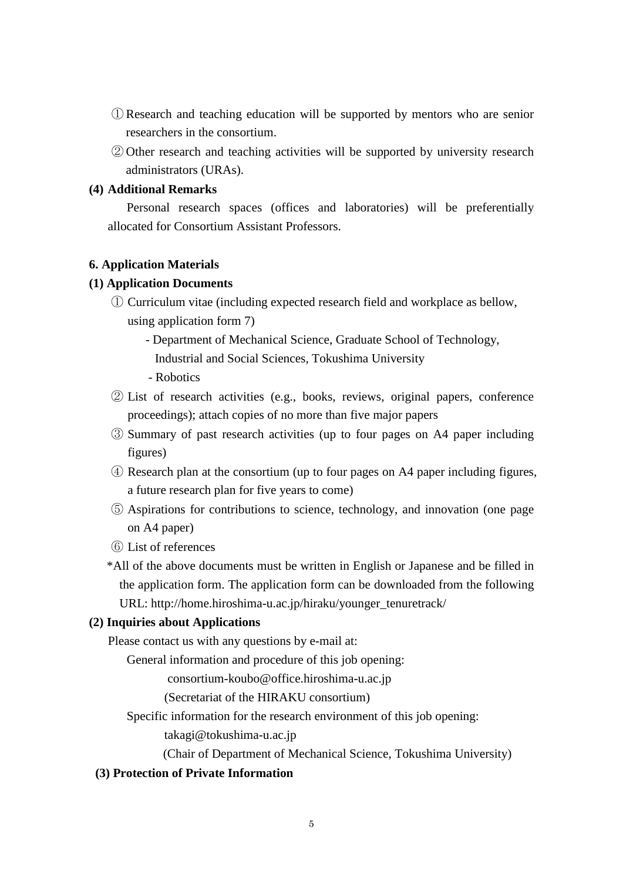- ① Research and teaching education will be supported by mentors who are senior researchers in the consortium.
- ② Other research and teaching activities will be supported by university research administrators (URAs).

## **(4) Additional Remarks**

Personal research spaces (offices and laboratories) will be preferentially allocated for Consortium Assistant Professors.

### **6. Application Materials**

### **(1) Application Documents**

- ① Curriculum vitae (including expected research field and workplace as bellow, using application form 7)
	- Department of Mechanical Science, Graduate School of Technology, Industrial and Social Sciences, Tokushima University
	- Robotics
- ② List of research activities (e.g., books, reviews, original papers, conference proceedings); attach copies of no more than five major papers
- ③ Summary of past research activities (up to four pages on A4 paper including figures)
- ④ Research plan at the consortium (up to four pages on A4 paper including figures, a future research plan for five years to come)
- ⑤ Aspirations for contributions to science, technology, and innovation (one page on A4 paper)
- ⑥ List of references
- \*All of the above documents must be written in English or Japanese and be filled in the application form. The application form can be downloaded from the following URL: http://home.hiroshima-u.ac.jp/hiraku/younger\_tenuretrack/

#### **(2) Inquiries about Applications**

Please contact us with any questions by e-mail at:

General information and procedure of this job opening:

consortium-koubo@office.hiroshima-u.ac.jp

(Secretariat of the HIRAKU consortium)

Specific information for the research environment of this job opening:

takagi@tokushima-u.ac.jp

(Chair of Department of Mechanical Science, Tokushima University)

## **(3) Protection of Private Information**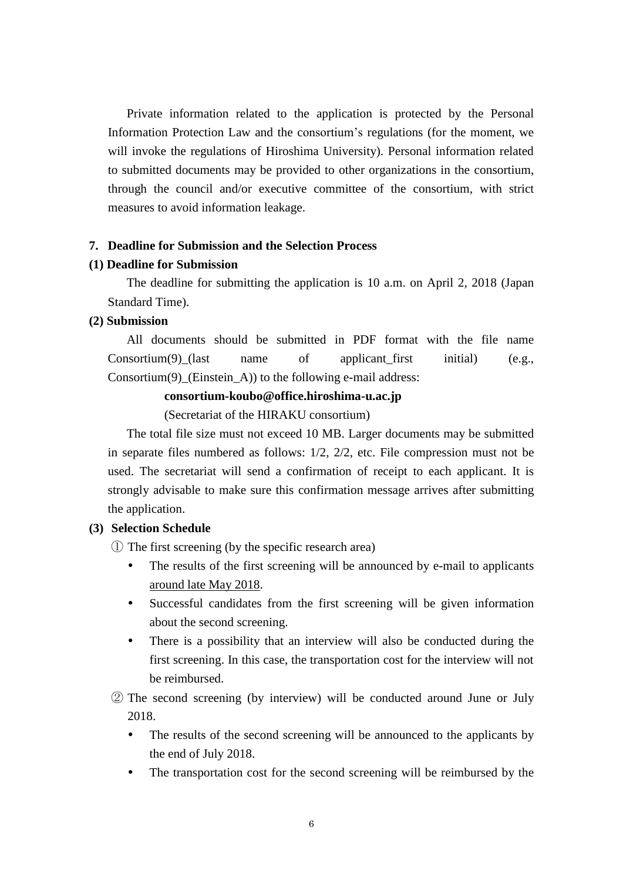Private information related to the application is protected by the Personal Information Protection Law and the consortium's regulations (for the moment, we will invoke the regulations of Hiroshima University). Personal information related to submitted documents may be provided to other organizations in the consortium, through the council and/or executive committee of the consortium, with strict measures to avoid information leakage.

#### **7. Deadline for Submission and the Selection Process**

#### **(1) Deadline for Submission**

The deadline for submitting the application is 10 a.m. on April 2, 2018 (Japan Standard Time).

### **(2) Submission**

All documents should be submitted in PDF format with the file name Consortium(9)\_(last name of applicant\_first initial) (e.g., Consortium(9)\_(Einstein\_A)) to the following e-mail address:

#### **consortium-koubo@office.hiroshima-u.ac.jp**

(Secretariat of the HIRAKU consortium)

The total file size must not exceed 10 MB. Larger documents may be submitted in separate files numbered as follows: 1/2, 2/2, etc. File compression must not be used. The secretariat will send a confirmation of receipt to each applicant. It is strongly advisable to make sure this confirmation message arrives after submitting the application.

#### **(3) Selection Schedule**

① The first screening (by the specific research area)

- The results of the first screening will be announced by e-mail to applicants around late May 2018.
- Successful candidates from the first screening will be given information about the second screening.
- There is a possibility that an interview will also be conducted during the first screening. In this case, the transportation cost for the interview will not be reimbursed.
- ② The second screening (by interview) will be conducted around June or July 2018.
	- The results of the second screening will be announced to the applicants by the end of July 2018.
	- The transportation cost for the second screening will be reimbursed by the